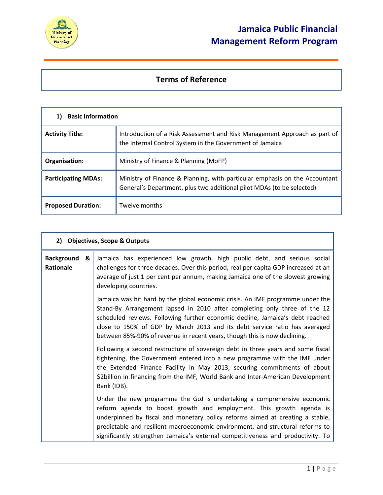

## **Terms of Reference**

| <b>Basic Information</b>   |                                                                                                                                                     |  |
|----------------------------|-----------------------------------------------------------------------------------------------------------------------------------------------------|--|
| <b>Activity Title:</b>     | Introduction of a Risk Assessment and Risk Management Approach as part of<br>the Internal Control System in the Government of Jamaica               |  |
| Organisation:              | Ministry of Finance & Planning (MoFP)                                                                                                               |  |
| <b>Participating MDAs:</b> | Ministry of Finance & Planning, with particular emphasis on the Accountant<br>General's Department, plus two additional pilot MDAs (to be selected) |  |
| <b>Proposed Duration:</b>  | Twelve months                                                                                                                                       |  |

| 2) Objectives, Scope & Outputs      |                                                                                                                                                                                                                                                                                                                                                                                                         |
|-------------------------------------|---------------------------------------------------------------------------------------------------------------------------------------------------------------------------------------------------------------------------------------------------------------------------------------------------------------------------------------------------------------------------------------------------------|
| <b>Background</b><br>&<br>Rationale | Jamaica has experienced low growth, high public debt, and serious social<br>challenges for three decades. Over this period, real per capita GDP increased at an<br>average of just 1 per cent per annum, making Jamaica one of the slowest growing<br>developing countries.                                                                                                                             |
|                                     | Jamaica was hit hard by the global economic crisis. An IMF programme under the<br>Stand-By Arrangement lapsed in 2010 after completing only three of the 12<br>scheduled reviews. Following further economic decline, Jamaica's debt reached<br>close to 150% of GDP by March 2013 and its debt service ratio has averaged<br>between 85%-90% of revenue in recent years, though this is now declining. |
|                                     | Following a second restructure of sovereign debt in three years and some fiscal<br>tightening, the Government entered into a new programme with the IMF under<br>the Extended Finance Facility in May 2013, securing commitments of about<br>\$2billion in financing from the IMF, World Bank and Inter-American Development<br>Bank (IDB).                                                             |
|                                     | Under the new programme the GoJ is undertaking a comprehensive economic<br>reform agenda to boost growth and employment. This growth agenda is<br>underpinned by fiscal and monetary policy reforms aimed at creating a stable,<br>predictable and resilient macroeconomic environment, and structural reforms to<br>significantly strengthen Jamaica's external competitiveness and productivity. To   |
|                                     |                                                                                                                                                                                                                                                                                                                                                                                                         |
|                                     | $1   P \text{ a } g \text{ e}$                                                                                                                                                                                                                                                                                                                                                                          |
|                                     |                                                                                                                                                                                                                                                                                                                                                                                                         |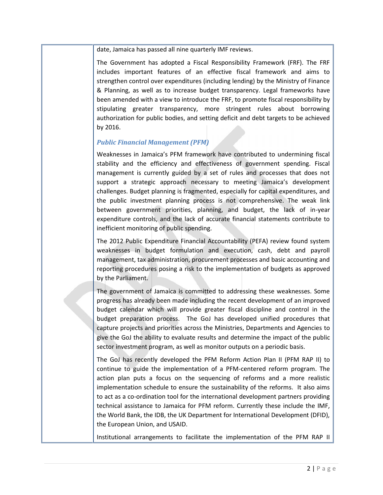date, Jamaica has passed all nine quarterly IMF reviews.

The Government has adopted a Fiscal Responsibility Framework (FRF). The FRF includes important features of an effective fiscal framework and aims to strengthen control over expenditures (including lending) by the Ministry of Finance & Planning, as well as to increase budget transparency. Legal frameworks have been amended with a view to introduce the FRF, to promote fiscal responsibility by stipulating greater transparency, more stringent rules about borrowing authorization for public bodies, and setting deficit and debt targets to be achieved by 2016.

### *Public Financial Management (PFM)*

Weaknesses in Jamaica's PFM framework have contributed to undermining fiscal stability and the efficiency and effectiveness of government spending. Fiscal management is currently guided by a set of rules and processes that does not support a strategic approach necessary to meeting Jamaica's development challenges. Budget planning is fragmented, especially for capital expenditures, and the public investment planning process is not comprehensive. The weak link between government priorities, planning, and budget, the lack of in-year expenditure controls, and the lack of accurate financial statements contribute to inefficient monitoring of public spending.

The 2012 Public Expenditure Financial Accountability (PEFA) review found system weaknesses in budget formulation and execution, cash, debt and payroll management, tax administration, procurement processes and basic accounting and reporting procedures posing a risk to the implementation of budgets as approved by the Parliament.

The government of Jamaica is committed to addressing these weaknesses. Some progress has already been made including the recent development of an improved budget calendar which will provide greater fiscal discipline and control in the budget preparation process. The GoJ has developed unified procedures that capture projects and priorities across the Ministries, Departments and Agencies to give the GoJ the ability to evaluate results and determine the impact of the public sector investment program, as well as monitor outputs on a periodic basis.

The GoJ has recently developed the PFM Reform Action Plan II (PFM RAP II) to continue to guide the implementation of a PFM-centered reform program. The action plan puts a focus on the sequencing of reforms and a more realistic implementation schedule to ensure the sustainability of the reforms. It also aims to act as a co-ordination tool for the international development partners providing technical assistance to Jamaica for PFM reform. Currently these include the IMF, the World Bank, the IDB, the UK Department for International Development (DFID), the European Union, and USAID.

Institutional arrangements to facilitate the implementation of the PFM RAP II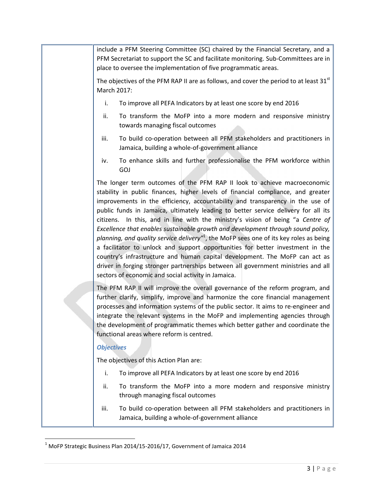include a PFM Steering Committee (SC) chaired by the Financial Secretary, and a PFM Secretariat to support the SC and facilitate monitoring. Sub-Committees are in place to oversee the implementation of five programmatic areas.

The objectives of the PFM RAP II are as follows, and cover the period to at least  $31<sup>st</sup>$ March 2017:

- i. To improve all PEFA Indicators by at least one score by end 2016
- ii. To transform the MoFP into a more modern and responsive ministry towards managing fiscal outcomes
- iii. To build co-operation between all PFM stakeholders and practitioners in Jamaica, building a whole-of-government alliance
- iv. To enhance skills and further professionalise the PFM workforce within GOJ

The longer term outcomes of the PFM RAP II look to achieve macroeconomic stability in public finances, higher levels of financial compliance, and greater improvements in the efficiency, accountability and transparency in the use of public funds in Jamaica, ultimately leading to better service delivery for all its citizens. In this, and in line with the ministry's vision of being "a *Centre of Excellence that enables sustainable growth and development through sound policy, planning, and quality service delivery*"<sup>1</sup>, the MoFP sees one of its key roles as being  $\parallel$ a facilitator to unlock and support opportunities for better investment in the country's infrastructure and human capital development. The MoFP can act as driver in forging stronger partnerships between all government ministries and all sectors of economic and social activity in Jamaica.

The PFM RAP II will improve the overall governance of the reform program, and further clarify, simplify, improve and harmonize the core financial management processes and information systems of the public sector. It aims to re-engineer and integrate the relevant systems in the MoFP and implementing agencies through the development of programmatic themes which better gather and coordinate the functional areas where reform is centred.

### *Objectives*

The objectives of this Action Plan are:

- i. To improve all PEFA Indicators by at least one score by end 2016
- ii. To transform the MoFP into a more modern and responsive ministry through managing fiscal outcomes
- iii. To build co-operation between all PFM stakeholders and practitioners in Jamaica, building a whole-of-government alliance

 $1$  MoFP Strategic Business Plan 2014/15-2016/17, Government of Jamaica 2014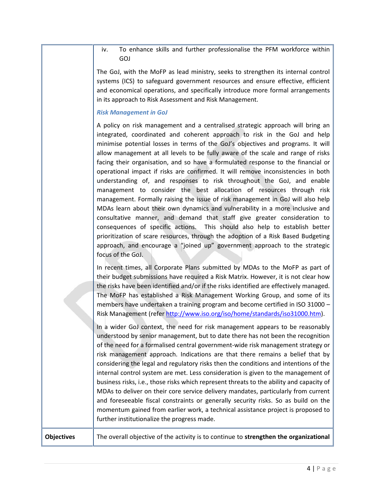iv. To enhance skills and further professionalise the PFM workforce within GOJ

The GoJ, with the MoFP as lead ministry, seeks to strengthen its internal control systems (ICS) to safeguard government resources and ensure effective, efficient and economical operations, and specifically introduce more formal arrangements in its approach to Risk Assessment and Risk Management.

#### *Risk Management in GoJ*

A policy on risk management and a centralised strategic approach will bring an integrated, coordinated and coherent approach to risk in the GoJ and help minimise potential losses in terms of the GoJ's objectives and programs. It will allow management at all levels to be fully aware of the scale and range of risks facing their organisation, and so have a formulated response to the financial or operational impact if risks are confirmed. It will remove inconsistencies in both understanding of, and responses to risk throughout the GoJ, and enable management to consider the best allocation of resources through risk management. Formally raising the issue of risk management in GoJ will also help MDAs learn about their own dynamics and vulnerability in a more inclusive and consultative manner, and demand that staff give greater consideration to consequences of specific actions. This should also help to establish better prioritization of scare resources, through the adoption of a Risk Based Budgeting approach, and encourage a "joined up" government approach to the strategic focus of the GoJ.

In recent times, all Corporate Plans submitted by MDAs to the MoFP as part of their budget submissions have required a Risk Matrix. However, it is not clear how the risks have been identified and/or if the risks identified are effectively managed. The MoFP has established a Risk Management Working Group, and some of its members have undertaken a training program and become certified in ISO 31000 – Risk Management (refer http://www.iso.org/iso/home/standards/iso31000.htm).

In a wider GoJ context, the need for risk management appears to be reasonably understood by senior management, but to date there has not been the recognition of the need for a formalised central government-wide risk management strategy or risk management approach. Indications are that there remains a belief that by considering the legal and regulatory risks then the conditions and intentions of the internal control system are met. Less consideration is given to the management of business risks, i.e., those risks which represent threats to the ability and capacity of MDAs to deliver on their core service delivery mandates, particularly from current and foreseeable fiscal constraints or generally security risks. So as build on the momentum gained from earlier work, a technical assistance project is proposed to further institutionalize the progress made.

# $\begin{array}{|c|c|}\n\hline\n\hline\n\hline\n4 & | P a g e\n\end{array}$ **Objectives** The overall objective of the activity is to continue to **strengthen the organizational**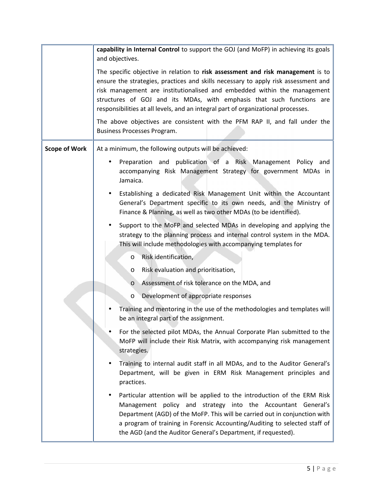|                      | capability in Internal Control to support the GOJ (and MoFP) in achieving its goals<br>and objectives.                                                                                                                                                                                                                                                                                                          |
|----------------------|-----------------------------------------------------------------------------------------------------------------------------------------------------------------------------------------------------------------------------------------------------------------------------------------------------------------------------------------------------------------------------------------------------------------|
|                      | The specific objective in relation to risk assessment and risk management is to<br>ensure the strategies, practices and skills necessary to apply risk assessment and<br>risk management are institutionalised and embedded within the management<br>structures of GOJ and its MDAs, with emphasis that such functions are<br>responsibilities at all levels, and an integral part of organizational processes. |
|                      | The above objectives are consistent with the PFM RAP II, and fall under the<br>Business Processes Program.                                                                                                                                                                                                                                                                                                      |
| <b>Scope of Work</b> | At a minimum, the following outputs will be achieved:                                                                                                                                                                                                                                                                                                                                                           |
|                      | Preparation and publication of a Risk Management Policy and<br>$\bullet$<br>accompanying Risk Management Strategy for government MDAs in<br>Jamaica.<br>Establishing a dedicated Risk Management Unit within the Accountant<br>٠<br>General's Department specific to its own needs, and the Ministry of<br>Finance & Planning, as well as two other MDAs (to be identified).                                    |
|                      | Support to the MoFP and selected MDAs in developing and applying the<br>$\bullet$<br>strategy to the planning process and internal control system in the MDA.<br>This will include methodologies with accompanying templates for                                                                                                                                                                                |
|                      | Risk identification,<br>O                                                                                                                                                                                                                                                                                                                                                                                       |
|                      | Risk evaluation and prioritisation,<br>$\circ$                                                                                                                                                                                                                                                                                                                                                                  |
|                      | Assessment of risk tolerance on the MDA, and<br>$\circ$                                                                                                                                                                                                                                                                                                                                                         |
|                      | Development of appropriate responses<br>$\circ$                                                                                                                                                                                                                                                                                                                                                                 |
|                      | Training and mentoring in the use of the methodologies and templates will<br>be an integral part of the assignment.                                                                                                                                                                                                                                                                                             |
|                      | For the selected pilot MDAs, the Annual Corporate Plan submitted to the<br>MoFP will include their Risk Matrix, with accompanying risk management<br>strategies.                                                                                                                                                                                                                                                |
|                      | Training to internal audit staff in all MDAs, and to the Auditor General's<br>Department, will be given in ERM Risk Management principles and<br>practices.                                                                                                                                                                                                                                                     |
|                      | Particular attention will be applied to the introduction of the ERM Risk<br>$\bullet$<br>Management policy and strategy into the Accountant General's<br>Department (AGD) of the MoFP. This will be carried out in conjunction with<br>a program of training in Forensic Accounting/Auditing to selected staff of<br>the AGD (and the Auditor General's Department, if requested).                              |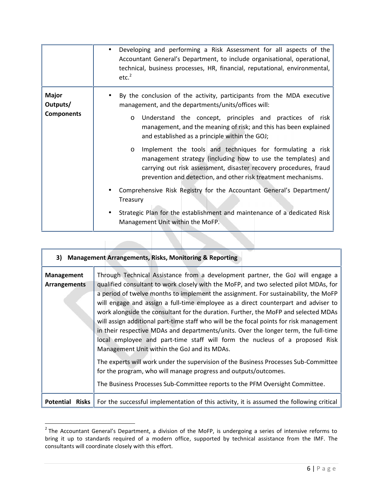|                                               | Developing and performing a Risk Assessment for all aspects of the<br>$\bullet$<br>Accountant General's Department, to include organisational, operational,<br>technical, business processes, HR, financial, reputational, environmental,<br>etc. <sup>2</sup>                                                             |
|-----------------------------------------------|----------------------------------------------------------------------------------------------------------------------------------------------------------------------------------------------------------------------------------------------------------------------------------------------------------------------------|
| <b>Major</b><br>Outputs/<br><b>Components</b> | By the conclusion of the activity, participants from the MDA executive<br>management, and the departments/units/offices will:<br>Understand the concept, principles and practices of risk<br>$\circ$<br>management, and the meaning of risk; and this has been explained<br>and established as a principle within the GOJ; |
|                                               | Implement the tools and techniques for formulating a risk<br>$\circ$<br>management strategy (including how to use the templates) and<br>carrying out risk assessment, disaster recovery procedures, fraud<br>prevention and detection, and other risk treatment mechanisms.                                                |
|                                               | Comprehensive Risk Registry for the Accountant General's Department/<br>Treasury                                                                                                                                                                                                                                           |
|                                               | Strategic Plan for the establishment and maintenance of a dedicated Risk<br>Management Unit within the MoFP.                                                                                                                                                                                                               |

| 3) Management Arrangements, Risks, Monitoring & Reporting |                                                                                                                                                                                                                                                                                                                                                                                                                                                                                                                                                                                                                                                                                                                                                                                                                                                                                                                                                                                                       |  |
|-----------------------------------------------------------|-------------------------------------------------------------------------------------------------------------------------------------------------------------------------------------------------------------------------------------------------------------------------------------------------------------------------------------------------------------------------------------------------------------------------------------------------------------------------------------------------------------------------------------------------------------------------------------------------------------------------------------------------------------------------------------------------------------------------------------------------------------------------------------------------------------------------------------------------------------------------------------------------------------------------------------------------------------------------------------------------------|--|
| <b>Management</b><br><b>Arrangements</b>                  | Through Technical Assistance from a development partner, the GoJ will engage a<br>qualified consultant to work closely with the MoFP, and two selected pilot MDAs, for<br>a period of twelve months to implement the assignment. For sustainability, the MoFP<br>will engage and assign a full-time employee as a direct counterpart and adviser to<br>work alongside the consultant for the duration. Further, the MoFP and selected MDAs<br>will assign additional part-time staff who will be the focal points for risk management<br>in their respective MDAs and departments/units. Over the longer term, the full-time<br>local employee and part-time staff will form the nucleus of a proposed Risk<br>Management Unit within the GoJ and its MDAs.<br>The experts will work under the supervision of the Business Processes Sub-Committee<br>for the program, who will manage progress and outputs/outcomes.<br>The Business Processes Sub-Committee reports to the PFM Oversight Committee. |  |
| Potential Risks                                           | For the successful implementation of this activity, it is assumed the following critical                                                                                                                                                                                                                                                                                                                                                                                                                                                                                                                                                                                                                                                                                                                                                                                                                                                                                                              |  |

<sup>&</sup>lt;sup>2</sup> The Accountant General's Department, a division of the MoFP, is undergoing a series of intensive reforms to bring it up to standards required of a modern office, supported by technical assistance from the IMF. The con bring it up to standards required of a modern office, supported by technical assistance from the IMF. The consultants will coordinate closely with this effort.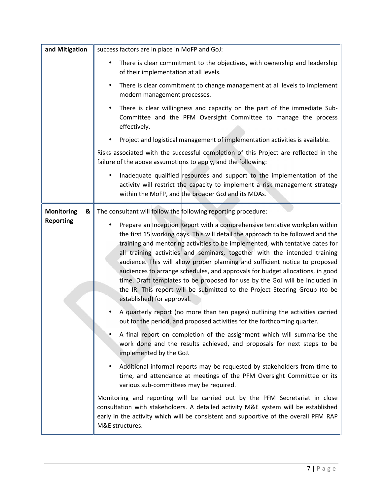| and Mitigation         | success factors are in place in MoFP and GoJ:                                                                                                                                                                                                                                                                                                                                                                                                                                                                                                                                                                                                                                               |
|------------------------|---------------------------------------------------------------------------------------------------------------------------------------------------------------------------------------------------------------------------------------------------------------------------------------------------------------------------------------------------------------------------------------------------------------------------------------------------------------------------------------------------------------------------------------------------------------------------------------------------------------------------------------------------------------------------------------------|
|                        | There is clear commitment to the objectives, with ownership and leadership<br>$\bullet$<br>of their implementation at all levels.                                                                                                                                                                                                                                                                                                                                                                                                                                                                                                                                                           |
|                        | There is clear commitment to change management at all levels to implement<br>٠<br>modern management processes.                                                                                                                                                                                                                                                                                                                                                                                                                                                                                                                                                                              |
|                        | There is clear willingness and capacity on the part of the immediate Sub-<br>٠<br>Committee and the PFM Oversight Committee to manage the process<br>effectively.                                                                                                                                                                                                                                                                                                                                                                                                                                                                                                                           |
|                        | Project and logistical management of implementation activities is available.<br>$\bullet$                                                                                                                                                                                                                                                                                                                                                                                                                                                                                                                                                                                                   |
|                        | Risks associated with the successful completion of this Project are reflected in the<br>failure of the above assumptions to apply, and the following:                                                                                                                                                                                                                                                                                                                                                                                                                                                                                                                                       |
|                        | Inadequate qualified resources and support to the implementation of the<br>$\bullet$<br>activity will restrict the capacity to implement a risk management strategy<br>within the MoFP, and the broader GoJ and its MDAs.                                                                                                                                                                                                                                                                                                                                                                                                                                                                   |
| <b>Monitoring</b><br>& | The consultant will follow the following reporting procedure:                                                                                                                                                                                                                                                                                                                                                                                                                                                                                                                                                                                                                               |
| <b>Reporting</b>       | Prepare an Inception Report with a comprehensive tentative workplan within<br>٠<br>the first 15 working days. This will detail the approach to be followed and the<br>training and mentoring activities to be implemented, with tentative dates for<br>all training activities and seminars, together with the intended training<br>audience. This will allow proper planning and sufficient notice to proposed<br>audiences to arrange schedules, and approvals for budget allocations, in good<br>time. Draft templates to be proposed for use by the GoJ will be included in<br>the IR. This report will be submitted to the Project Steering Group (to be<br>established) for approval. |
|                        | A quarterly report (no more than ten pages) outlining the activities carried<br>out for the period, and proposed activities for the forthcoming quarter.                                                                                                                                                                                                                                                                                                                                                                                                                                                                                                                                    |
|                        | A final report on completion of the assignment which will summarise the<br>work done and the results achieved, and proposals for next steps to be<br>implemented by the GoJ.                                                                                                                                                                                                                                                                                                                                                                                                                                                                                                                |
|                        | Additional informal reports may be requested by stakeholders from time to<br>time, and attendance at meetings of the PFM Oversight Committee or its<br>various sub-committees may be required.                                                                                                                                                                                                                                                                                                                                                                                                                                                                                              |
|                        | Monitoring and reporting will be carried out by the PFM Secretariat in close<br>consultation with stakeholders. A detailed activity M&E system will be established<br>early in the activity which will be consistent and supportive of the overall PFM RAP<br>M&E structures.                                                                                                                                                                                                                                                                                                                                                                                                               |